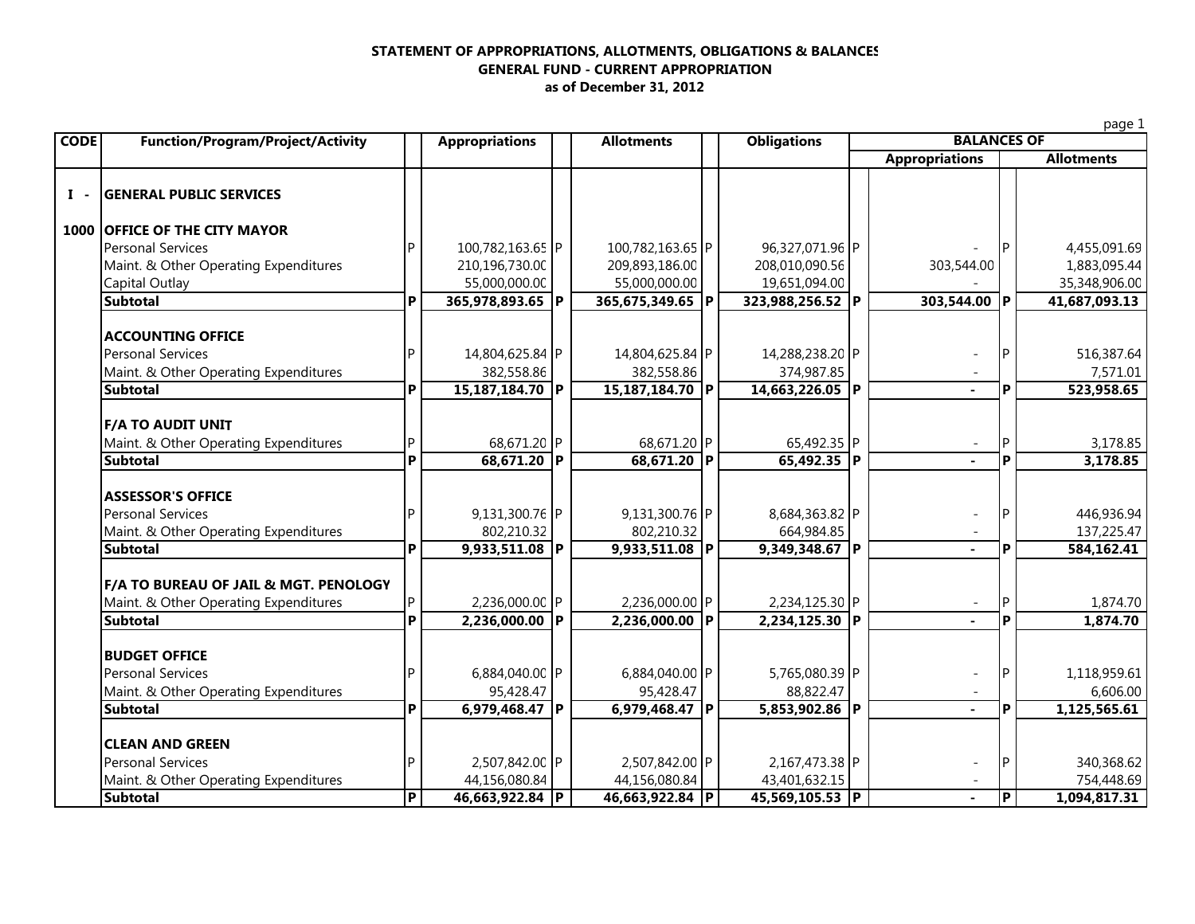## **STATEMENT OF APPROPRIATIONS, ALLOTMENTS, OBLIGATIONS & BALANCES GENERAL FUND - CURRENT APPROPRIATIO N as of December 31, 2012**

|                |                                       |                                                                                                              |                  |  |                  |               |                  |  |                       |   | page 1            |  |  |
|----------------|---------------------------------------|--------------------------------------------------------------------------------------------------------------|------------------|--|------------------|---------------|------------------|--|-----------------------|---|-------------------|--|--|
| <b>CODE</b>    |                                       | <b>Function/Program/Project/Activity</b><br><b>Obligations</b><br><b>Appropriations</b><br><b>Allotments</b> |                  |  |                  |               |                  |  | <b>BALANCES OF</b>    |   |                   |  |  |
|                |                                       |                                                                                                              |                  |  |                  |               |                  |  | <b>Appropriations</b> |   | <b>Allotments</b> |  |  |
| $\mathbf{I}$ - | <b>GENERAL PUBLIC SERVICES</b>        |                                                                                                              |                  |  |                  |               |                  |  |                       |   |                   |  |  |
|                | 1000 OFFICE OF THE CITY MAYOR         |                                                                                                              |                  |  |                  |               |                  |  |                       |   |                   |  |  |
|                | <b>Personal Services</b>              | D                                                                                                            | 100,782,163.65 P |  | 100,782,163.65 P |               | 96,327,071.96 P  |  |                       |   | 4,455,091.69      |  |  |
|                | Maint. & Other Operating Expenditures |                                                                                                              | 210,196,730.00   |  | 209,893,186.00   |               | 208,010,090.56   |  | 303,544.00            |   | 1,883,095.44      |  |  |
|                | Capital Outlay                        |                                                                                                              | 55,000,000.00    |  | 55,000,000.00    |               | 19,651,094.00    |  |                       |   | 35,348,906.00     |  |  |
|                | <b>Subtotal</b>                       | P                                                                                                            | 365,978,893.65 P |  | 365,675,349.65 P |               | 323,988,256.52 P |  | 303,544.00 P          |   | 41,687,093.13     |  |  |
|                | <b>ACCOUNTING OFFICE</b>              |                                                                                                              |                  |  |                  |               |                  |  |                       |   |                   |  |  |
|                | <b>Personal Services</b>              |                                                                                                              | 14,804,625.84 P  |  | 14,804,625.84 P  |               | 14,288,238.20 P  |  |                       | P | 516,387.64        |  |  |
|                | Maint. & Other Operating Expenditures |                                                                                                              | 382,558.86       |  | 382,558.86       |               | 374,987.85       |  |                       |   | 7,571.01          |  |  |
|                | <b>Subtotal</b>                       | P                                                                                                            | 15,187,184.70 P  |  | 15,187,184.70 P  |               | 14,663,226.05 P  |  |                       | P | 523,958.65        |  |  |
|                | <b>F/A TO AUDIT UNIT</b>              |                                                                                                              |                  |  |                  |               |                  |  |                       |   |                   |  |  |
|                | Maint. & Other Operating Expenditures | P                                                                                                            | 68,671.20 P      |  | 68,671.20 P      |               | 65,492.35 P      |  |                       | P | 3,178.85          |  |  |
|                | <b>Subtotal</b>                       | P                                                                                                            | $68,671.20$ P    |  | 68,671.20 P      |               | 65,492.35 P      |  |                       | P | 3,178.85          |  |  |
|                | <b>ASSESSOR'S OFFICE</b>              |                                                                                                              |                  |  |                  |               |                  |  |                       |   |                   |  |  |
|                | <b>Personal Services</b>              |                                                                                                              | 9,131,300.76 P   |  | 9,131,300.76 P   |               | 8,684,363.82 P   |  |                       | P | 446,936.94        |  |  |
|                | Maint. & Other Operating Expenditures |                                                                                                              | 802,210.32       |  | 802,210.32       |               | 664,984.85       |  |                       |   | 137,225.47        |  |  |
|                | <b>Subtotal</b>                       | P                                                                                                            | 9,933,511.08 P   |  | $9,933,511.08$ P |               | 9,349,348.67 P   |  |                       | P | 584,162.41        |  |  |
|                | F/A TO BUREAU OF JAIL & MGT. PENOLOGY |                                                                                                              |                  |  |                  |               |                  |  |                       |   |                   |  |  |
|                | Maint. & Other Operating Expenditures | IP.                                                                                                          | 2,236,000.00 P   |  | 2,236,000.00 P   |               | 2,234,125.30 P   |  |                       | P | 1,874.70          |  |  |
|                | <b>Subtotal</b>                       | P                                                                                                            | $2,236,000.00$ P |  | 2,236,000.00     | $\mathsf{IP}$ | 2,234,125.30 P   |  |                       | P | 1,874.70          |  |  |
|                | <b>BUDGET OFFICE</b>                  |                                                                                                              |                  |  |                  |               |                  |  |                       |   |                   |  |  |
|                | <b>Personal Services</b>              |                                                                                                              | 6,884,040.00 P   |  | 6,884,040.00 P   |               | 5,765,080.39 P   |  |                       | P | 1,118,959.61      |  |  |
|                | Maint. & Other Operating Expenditures |                                                                                                              | 95,428.47        |  | 95,428.47        |               | 88,822.47        |  |                       |   | 6,606.00          |  |  |
|                | <b>Subtotal</b>                       | P                                                                                                            | 6,979,468.47 P   |  | 6,979,468.47 P   |               | 5,853,902.86 P   |  | $\sim$                | P | 1,125,565.61      |  |  |
|                | <b>CLEAN AND GREEN</b>                |                                                                                                              |                  |  |                  |               |                  |  |                       |   |                   |  |  |
|                | <b>Personal Services</b>              |                                                                                                              | 2,507,842.00 P   |  | 2,507,842.00 P   |               | 2,167,473.38 P   |  |                       | P | 340,368.62        |  |  |
|                | Maint. & Other Operating Expenditures |                                                                                                              | 44,156,080.84    |  | 44,156,080.84    |               | 43,401,632.15    |  |                       |   | 754,448.69        |  |  |
|                | <b>Subtotal</b>                       | <b>P</b>                                                                                                     | 46,663,922.84 P  |  | 46,663,922.84 P  |               | 45,569,105.53 P  |  |                       | P | 1,094,817.31      |  |  |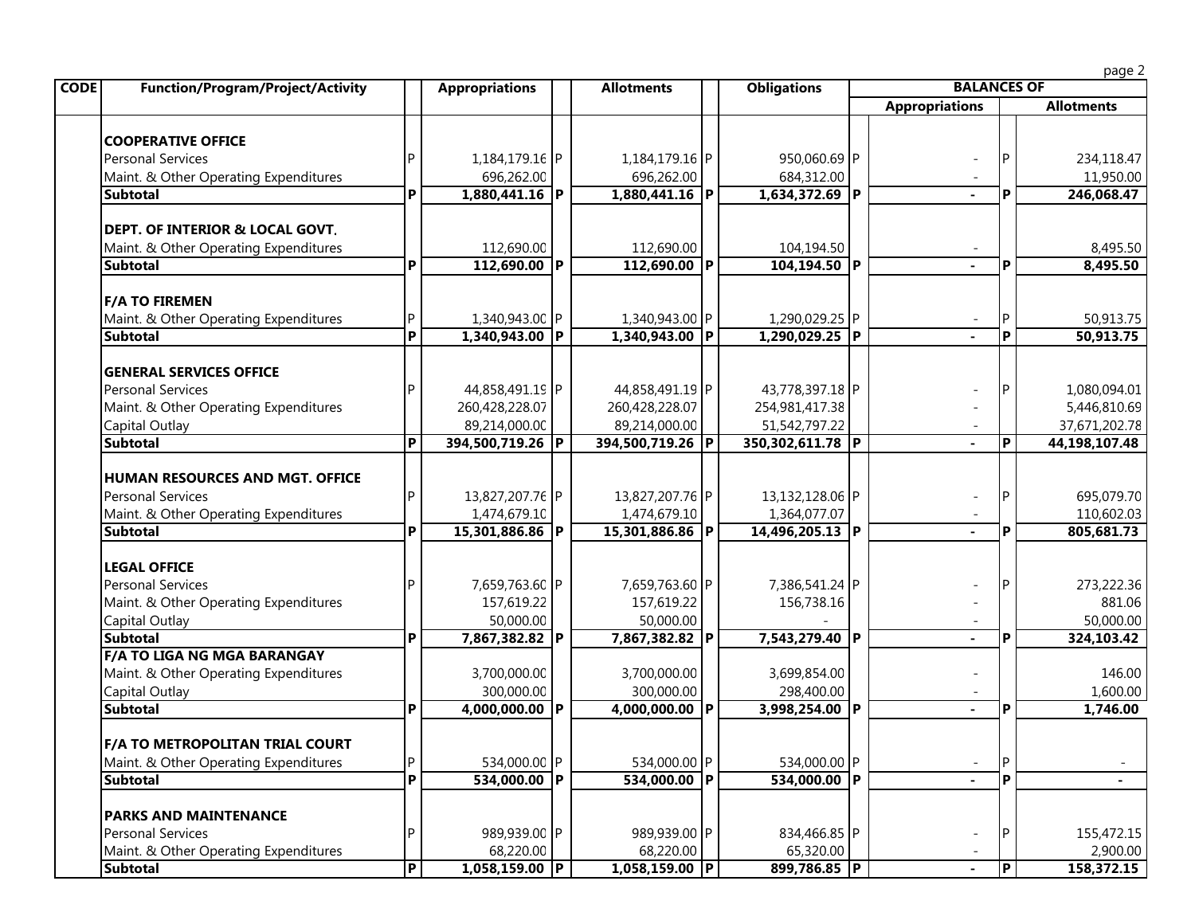page 2

| <b>CODE</b><br><b>Function/Program/Project/Activity</b> |   | <b>Appropriations</b> | <b>Allotments</b> | <b>Obligations</b> | <b>BALANCES OF</b>       |                         |                   |
|---------------------------------------------------------|---|-----------------------|-------------------|--------------------|--------------------------|-------------------------|-------------------|
|                                                         |   |                       |                   |                    | <b>Appropriations</b>    |                         | <b>Allotments</b> |
|                                                         |   |                       |                   |                    |                          |                         |                   |
| <b>COOPERATIVE OFFICE</b>                               |   |                       |                   |                    |                          |                         |                   |
| <b>Personal Services</b>                                |   | 1,184,179.16 P        | 1,184,179.16 P    | 950,060.69 P       |                          | IP.                     | 234,118.47        |
| Maint. & Other Operating Expenditures                   |   | 696,262.00            | 696,262.00        | 684,312.00         |                          |                         | 11,950.00         |
| <b>Subtotal</b>                                         | P | 1,880,441.16 P        | 1,880,441.16 P    | 1,634,372.69 P     |                          | P                       | 246,068.47        |
| DEPT. OF INTERIOR & LOCAL GOVT.                         |   |                       |                   |                    |                          |                         |                   |
| Maint. & Other Operating Expenditures                   |   | 112,690.00            | 112,690.00        | 104,194.50         |                          |                         | 8,495.50          |
| <b>Subtotal</b>                                         | P | $112,690.00$ P        | $112,690.00$ P    | 104,194.50 P       |                          | $\mathsf{P}$            | 8,495.50          |
| <b>F/A TO FIREMEN</b>                                   |   |                       |                   |                    |                          |                         |                   |
| Maint. & Other Operating Expenditures                   | P | 1,340,943.00 P        | 1,340,943.00 P    | 1,290,029.25 P     |                          | ΙP                      | 50,913.75         |
| <b>Subtotal</b>                                         | P | 1,340,943.00 P        | 1,340,943.00 P    | 1,290,029.25 P     |                          | l P                     | 50,913.75         |
| <b>GENERAL SERVICES OFFICE</b>                          |   |                       |                   |                    |                          |                         |                   |
| <b>Personal Services</b>                                | D | 44,858,491.19 P       | 44,858,491.19 P   | 43,778,397.18 P    |                          | IP                      | 1,080,094.01      |
| Maint. & Other Operating Expenditures                   |   | 260,428,228.07        | 260,428,228.07    | 254,981,417.38     |                          |                         | 5,446,810.69      |
| Capital Outlay                                          |   | 89,214,000.00         | 89,214,000.00     | 51,542,797.22      |                          |                         | 37,671,202.78     |
| <b>Subtotal</b>                                         | P | 394,500,719.26 P      | 394,500,719.26 P  | 350,302,611.78 P   | ÷.                       | P                       | 44,198,107.48     |
|                                                         |   |                       |                   |                    |                          |                         |                   |
| HUMAN RESOURCES AND MGT. OFFICE                         |   |                       |                   |                    |                          |                         |                   |
| <b>Personal Services</b>                                | Þ | 13,827,207.76 P       | 13,827,207.76 P   | 13,132,128.06 P    |                          | IP                      | 695,079.70        |
| Maint. & Other Operating Expenditures                   |   | 1,474,679.10          | 1,474,679.10      | 1,364,077.07       |                          |                         | 110,602.03        |
| <b>Subtotal</b>                                         | P | 15,301,886.86 P       | 15,301,886.86 P   | 14,496,205.13 P    | $\sim$                   | P                       | 805,681.73        |
| <b>LEGAL OFFICE</b>                                     |   |                       |                   |                    |                          |                         |                   |
| <b>Personal Services</b>                                |   | 7,659,763.60 P        | 7,659,763.60 P    | 7,386,541.24 P     |                          | IP                      | 273,222.36        |
| Maint. & Other Operating Expenditures                   |   | 157,619.22            | 157,619.22        | 156,738.16         |                          |                         | 881.06            |
| Capital Outlay                                          |   | 50,000.00             | 50,000.00         |                    |                          |                         | 50,000.00         |
| <b>Subtotal</b>                                         | P | 7,867,382.82 P        | 7,867,382.82 P    | 7,543,279.40 P     | $\blacksquare$           | l P                     | 324,103.42        |
| <b>F/A TO LIGA NG MGA BARANGAY</b>                      |   |                       |                   |                    |                          |                         |                   |
| Maint. & Other Operating Expenditures                   |   | 3,700,000.00          | 3,700,000.00      | 3,699,854.00       |                          |                         | 146.00            |
| Capital Outlay                                          |   | 300,000.00            | 300,000.00        | 298,400.00         |                          |                         | 1,600.00          |
| <b>Subtotal</b>                                         | P | 4,000,000.00 P        | $4,000,000.00$ P  | 3,998,254.00 P     | $\blacksquare$           | <b>P</b>                | 1,746.00          |
| F/A TO METROPOLITAN TRIAL COURT                         |   |                       |                   |                    |                          |                         |                   |
| Maint. & Other Operating Expenditures                   | P | 534,000.00 P          | 534,000.00 P      | 534,000.00 P       |                          | P                       |                   |
| <b>Subtotal</b>                                         | P | 534,000.00 P          | 534,000.00 P      | 534,000.00 P       |                          | l P                     |                   |
| <b>PARKS AND MAINTENANCE</b>                            |   |                       |                   |                    |                          |                         |                   |
| <b>Personal Services</b>                                | D | 989,939.00 P          | 989,939.00 P      | 834,466.85 P       | $\overline{\phantom{a}}$ | IP.                     | 155,472.15        |
| Maint. & Other Operating Expenditures                   |   | 68,220.00             | 68,220.00         | 65,320.00          |                          |                         | 2,900.00          |
| <b>Subtotal</b>                                         | P | $1,058,159.00$ P      | 1,058,159.00  P   | 899,786.85 P       | $\blacksquare$           | $\overline{\mathsf{P}}$ | 158,372.15        |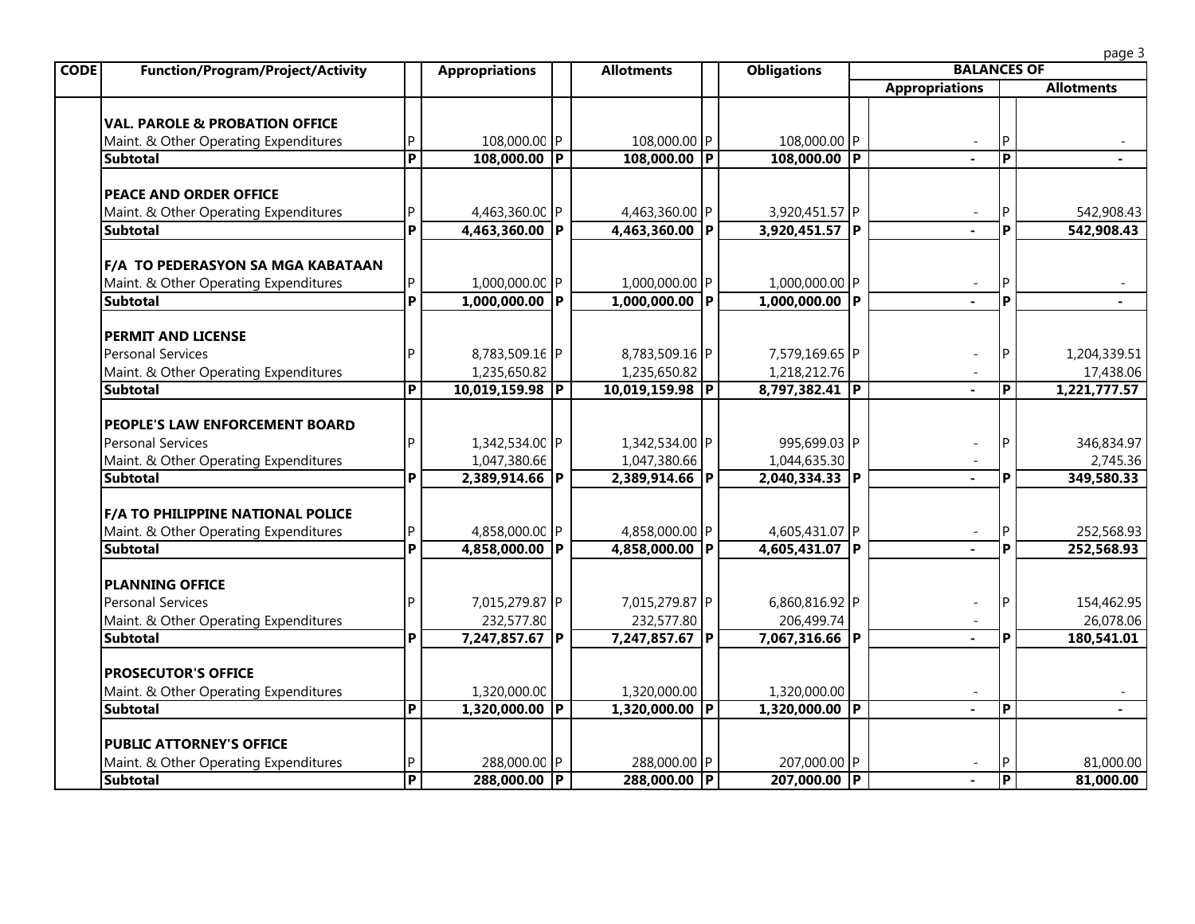| <b>Function/Program/Project/Activity</b>                                 |                         | <b>Appropriations</b>          | <b>Allotments</b>              | <b>Obligations</b>             |                       |                | page 3<br><b>BALANCES OF</b> |  |  |
|--------------------------------------------------------------------------|-------------------------|--------------------------------|--------------------------------|--------------------------------|-----------------------|----------------|------------------------------|--|--|
|                                                                          |                         |                                |                                |                                | <b>Appropriations</b> |                | <b>Allotments</b>            |  |  |
|                                                                          |                         |                                |                                |                                |                       |                |                              |  |  |
| <b>VAL. PAROLE &amp; PROBATION OFFICE</b>                                |                         |                                |                                |                                |                       |                |                              |  |  |
| Maint. & Other Operating Expenditures                                    | P                       | 108,000.00 P                   | 108,000.00 P                   | 108,000.00 P                   |                       | P              |                              |  |  |
| <b>Subtotal</b>                                                          | $\overline{\mathsf{P}}$ | $108,000.00$ P                 | 108,000.00 P                   | 108,000.00 P                   |                       | $\overline{P}$ |                              |  |  |
| <b>PEACE AND ORDER OFFICE</b>                                            |                         |                                |                                |                                |                       |                |                              |  |  |
| Maint. & Other Operating Expenditures                                    | P                       | 4,463,360.00 P                 | 4,463,360.00 P                 | 3,920,451.57 P                 |                       | ΙP             | 542,908.43                   |  |  |
| <b>Subtotal</b>                                                          | P                       | $4,463,360.00$ P               | 4,463,360.00 P                 | $3,920,451.57$ P               |                       | P              | 542,908.43                   |  |  |
|                                                                          |                         |                                |                                |                                |                       |                |                              |  |  |
| <b>F/A TO PEDERASYON SA MGA KABATAAN</b>                                 |                         |                                |                                |                                |                       |                |                              |  |  |
| Maint. & Other Operating Expenditures                                    |                         | 1,000,000.00 P                 | 1,000,000.00 P                 | 1,000,000.00 P                 |                       |                |                              |  |  |
| <b>Subtotal</b>                                                          | P                       | $1,000,000.00$ P               | $1,000,000.00$ P               | $1,000,000.00$ P               |                       | P              |                              |  |  |
| <b>PERMIT AND LICENSE</b>                                                |                         |                                |                                |                                |                       |                |                              |  |  |
| <b>Personal Services</b>                                                 | P                       |                                |                                |                                |                       | <b>P</b>       |                              |  |  |
| Maint. & Other Operating Expenditures                                    |                         | 8,783,509.16 P<br>1,235,650.82 | 8,783,509.16 P<br>1,235,650.82 | 7,579,169.65 P<br>1,218,212.76 |                       |                | 1,204,339.51                 |  |  |
| <b>Subtotal</b>                                                          | $\overline{P}$          | 10,019,159.98 P                | 10,019,159.98 P                | 8,797,382.41 P                 |                       | $\overline{P}$ | 17,438.06<br>1,221,777.57    |  |  |
|                                                                          |                         |                                |                                |                                |                       |                |                              |  |  |
| <b>PEOPLE'S LAW ENFORCEMENT BOARD</b>                                    |                         |                                |                                |                                |                       |                |                              |  |  |
| <b>Personal Services</b>                                                 | P                       | 1,342,534.00 P                 | 1,342,534.00 P                 | 995,699.03 P                   |                       | IP.            | 346,834.97                   |  |  |
| Maint. & Other Operating Expenditures                                    |                         | 1,047,380.66                   | 1,047,380.66                   | 1,044,635.30                   |                       |                | 2,745.36                     |  |  |
| Subtotal                                                                 | P                       | 2,389,914.66 P                 | 2,389,914.66 P                 | 2,040,334.33 P                 |                       | P              | 349,580.33                   |  |  |
| <b>F/A TO PHILIPPINE NATIONAL POLICE</b>                                 |                         |                                |                                |                                |                       |                |                              |  |  |
| Maint. & Other Operating Expenditures                                    | P                       | 4,858,000.00 P                 | 4,858,000.00 P                 | 4,605,431.07 P                 |                       | ΙP             | 252,568.93                   |  |  |
| <b>Subtotal</b>                                                          | Þ                       | 4,858,000.00 P                 | 4,858,000.00 P                 | 4,605,431.07 P                 |                       | P              | 252,568.93                   |  |  |
|                                                                          |                         |                                |                                |                                |                       |                |                              |  |  |
| <b>PLANNING OFFICE</b>                                                   |                         |                                |                                |                                |                       |                |                              |  |  |
| <b>Personal Services</b>                                                 | P                       | 7,015,279.87 P                 | 7,015,279.87 P                 | 6,860,816.92 P                 |                       | IP             | 154,462.95                   |  |  |
| Maint. & Other Operating Expenditures                                    |                         | 232,577.80                     | 232,577.80                     | 206,499.74                     |                       |                | 26,078.06                    |  |  |
| <b>Subtotal</b>                                                          | P                       | $7,247,857.67$ P               | 7,247,857.67 P                 | 7,067,316.66 P                 | $\blacksquare$        | P              | 180,541.01                   |  |  |
| <b>PROSECUTOR'S OFFICE</b>                                               |                         |                                |                                |                                |                       |                |                              |  |  |
| Maint. & Other Operating Expenditures                                    |                         | 1,320,000.00                   | 1,320,000.00                   | 1,320,000.00                   |                       |                |                              |  |  |
| Subtotal                                                                 | $\overline{\mathsf{P}}$ | $1,320,000.00$ P               | 1,320,000.00 P                 | 1,320,000.00 P                 |                       | $\overline{P}$ |                              |  |  |
|                                                                          |                         |                                |                                |                                |                       |                |                              |  |  |
| <b>PUBLIC ATTORNEY'S OFFICE</b><br>Maint. & Other Operating Expenditures | P                       | 288,000.00 P                   | 288,000.00 P                   | 207,000.00 P                   |                       | P              | 81,000.00                    |  |  |
| Subtotal                                                                 | ĪP                      | 288,000.00 P                   | 288,000.00 P                   | 207,000.00 P                   |                       | $\overline{P}$ | 81,000.00                    |  |  |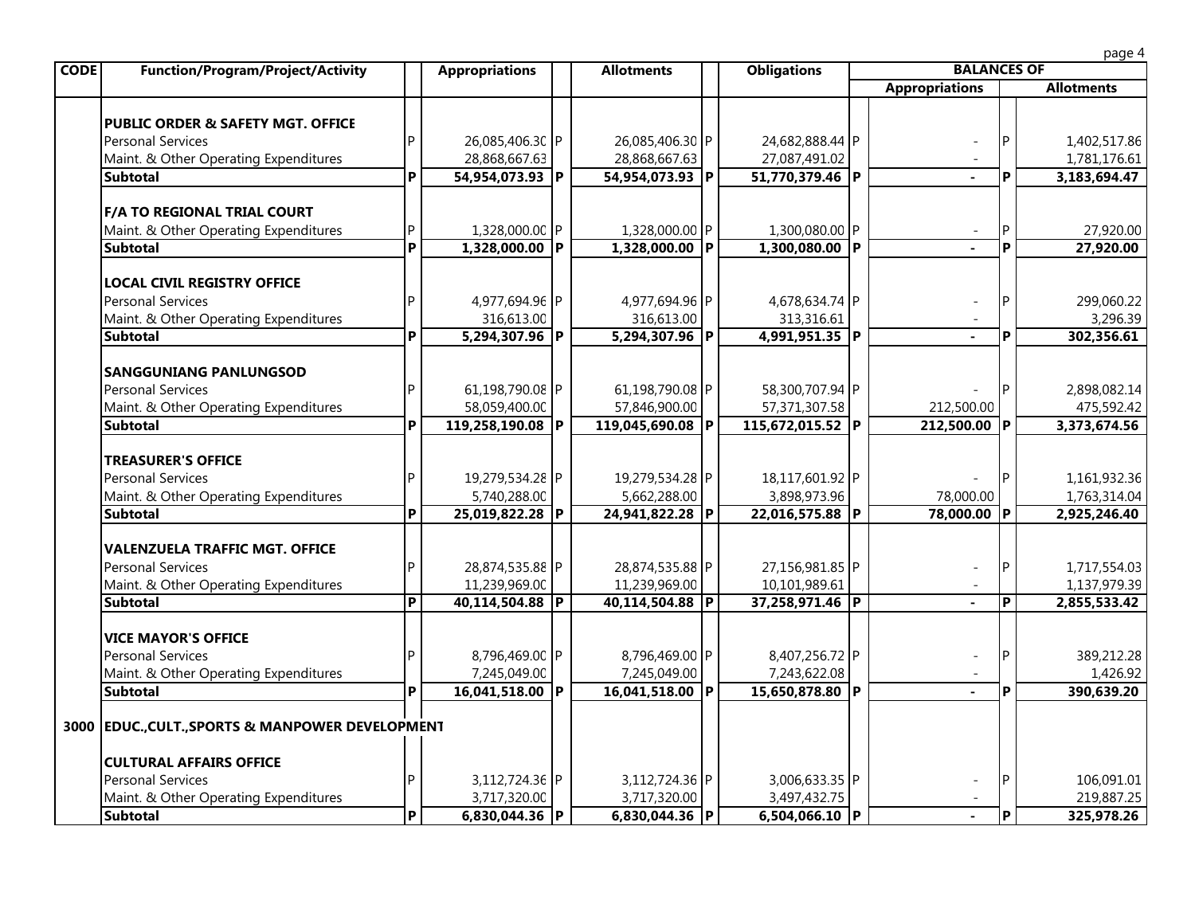| <b>CODE</b><br><b>Function/Program/Project/Activity</b> |                | <b>Appropriations</b> | <b>Allotments</b> | <b>Obligations</b> | <b>BALANCES OF</b>    |     |                   |
|---------------------------------------------------------|----------------|-----------------------|-------------------|--------------------|-----------------------|-----|-------------------|
|                                                         |                |                       |                   |                    | <b>Appropriations</b> |     | <b>Allotments</b> |
| <b>PUBLIC ORDER &amp; SAFETY MGT. OFFICE</b>            |                |                       |                   |                    |                       |     |                   |
| <b>Personal Services</b>                                | D              | 26,085,406.30 P       | 26,085,406.30 P   | 24,682,888.44 P    |                       |     | 1,402,517.86      |
| Maint. & Other Operating Expenditures                   |                | 28,868,667.63         | 28,868,667.63     | 27,087,491.02      |                       |     | 1,781,176.61      |
| <b>Subtotal</b>                                         | P              | 54,954,073.93 P       | 54,954,073.93 P   | 51,770,379.46 P    |                       | Þ   | 3,183,694.47      |
| <b>F/A TO REGIONAL TRIAL COURT</b>                      |                |                       |                   |                    |                       |     |                   |
| Maint. & Other Operating Expenditures                   | P              | 1,328,000.00 P        | 1,328,000.00 P    | 1,300,080.00 P     |                       |     | 27,920.00         |
| <b>Subtotal</b>                                         | P              | 1,328,000.00 P        | 1,328,000.00 P    | 1,300,080.00 P     |                       | D   | 27,920.00         |
| <b>LOCAL CIVIL REGISTRY OFFICE</b>                      |                |                       |                   |                    |                       |     |                   |
| <b>Personal Services</b>                                |                | 4,977,694.96 P        | 4,977,694.96 P    | 4,678,634.74 P     |                       |     | 299,060.22        |
| Maint. & Other Operating Expenditures                   |                | 316,613.00            | 316,613.00        | 313,316.61         |                       |     | 3,296.39          |
| <b>Subtotal</b>                                         | P              | 5,294,307.96 P        | 5,294,307.96 P    | 4,991,951.35 P     |                       | Þ   | 302,356.61        |
| <b>SANGGUNIANG PANLUNGSOD</b>                           |                |                       |                   |                    |                       |     |                   |
| <b>Personal Services</b>                                | D              | 61,198,790.08 P       | 61,198,790.08 P   | 58,300,707.94 P    |                       |     | 2,898,082.14      |
| Maint. & Other Operating Expenditures                   |                | 58,059,400.00         | 57,846,900.00     | 57,371,307.58      | 212,500.00            |     | 475,592.42        |
| <b>Subtotal</b>                                         | P              | 119,258,190.08 P      | 119,045,690.08 P  | 115,672,015.52 P   | 212,500.00 P          |     | 3,373,674.56      |
| <b>TREASURER'S OFFICE</b>                               |                |                       |                   |                    |                       |     |                   |
| <b>Personal Services</b>                                |                | 19,279,534.28 P       | 19,279,534.28 P   | 18,117,601.92 P    |                       |     | 1,161,932.36      |
| Maint. & Other Operating Expenditures                   |                | 5,740,288.00          | 5,662,288.00      | 3,898,973.96       | 78,000.00             |     | 1,763,314.04      |
| <b>Subtotal</b>                                         | P              | 25,019,822.28 P       | 24,941,822.28 P   | 22,016,575.88 P    | 78,000.00 P           |     | 2,925,246.40      |
| <b>VALENZUELA TRAFFIC MGT. OFFICE</b>                   |                |                       |                   |                    |                       |     |                   |
| <b>Personal Services</b>                                | D              | 28,874,535.88 P       | 28,874,535.88 P   | 27,156,981.85 P    |                       |     | 1,717,554.03      |
| Maint. & Other Operating Expenditures                   |                | 11,239,969.00         | 11,239,969.00     | 10,101,989.61      |                       |     | 1,137,979.39      |
| Subtotal                                                | $\overline{P}$ | 40.114.504.88 P       | 40.114.504.88 P   | 37.258.971.46 P    |                       | IP. | 2.855.533.42      |

| <b>Personal Services</b>                         | 28,874,535.88 P | 28,874,535.88 P | 27,156,981.85 P |  | 1,717,554.03 |
|--------------------------------------------------|-----------------|-----------------|-----------------|--|--------------|
| Maint. & Other Operating Expenditures            | 11,239,969.00   | 11,239,969.00   | 10,101,989.61   |  | 1,137,979.39 |
| <b>Subtotal</b>                                  | 40,114,504.88 P | 40,114,504.88 P | 37,258,971.46 P |  | 2,855,533.42 |
| <b>VICE MAYOR'S OFFICE</b>                       |                 |                 |                 |  |              |
| <b>Personal Services</b>                         | 8,796,469.00 P  | 8,796,469.00 P  | 8,407,256.72 P  |  | 389,212.28   |
| Maint. & Other Operating Expenditures            | 7,245,049.00    | 7,245,049.00    | 7,243,622.08    |  | 1,426.92     |
| <b>Subtotal</b>                                  | 16,041,518.00 P | 16,041,518.00 P | 15,650,878.80 P |  | 390,639.20   |
| 3000 EDUC., CULT., SPORTS & MANPOWER DEVELOPMENT |                 |                 |                 |  |              |
| CULTURAL AFFAIRS OFFICE                          |                 |                 |                 |  |              |
| <b>Personal Services</b>                         | 3,112,724.36 P  | 3,112,724.36 P  | 3,006,633.35 P  |  | 106,091.01   |
| Maint. & Other Operating Expenditures            | 3,717,320.00    | 3,717,320.00    | 3,497,432.75    |  | 219,887.25   |
| <b>Subtotal</b>                                  | 6,830,044.36 P  | 6.830.044.36 P  | 6.504.066.10 P  |  | 325.978.26   |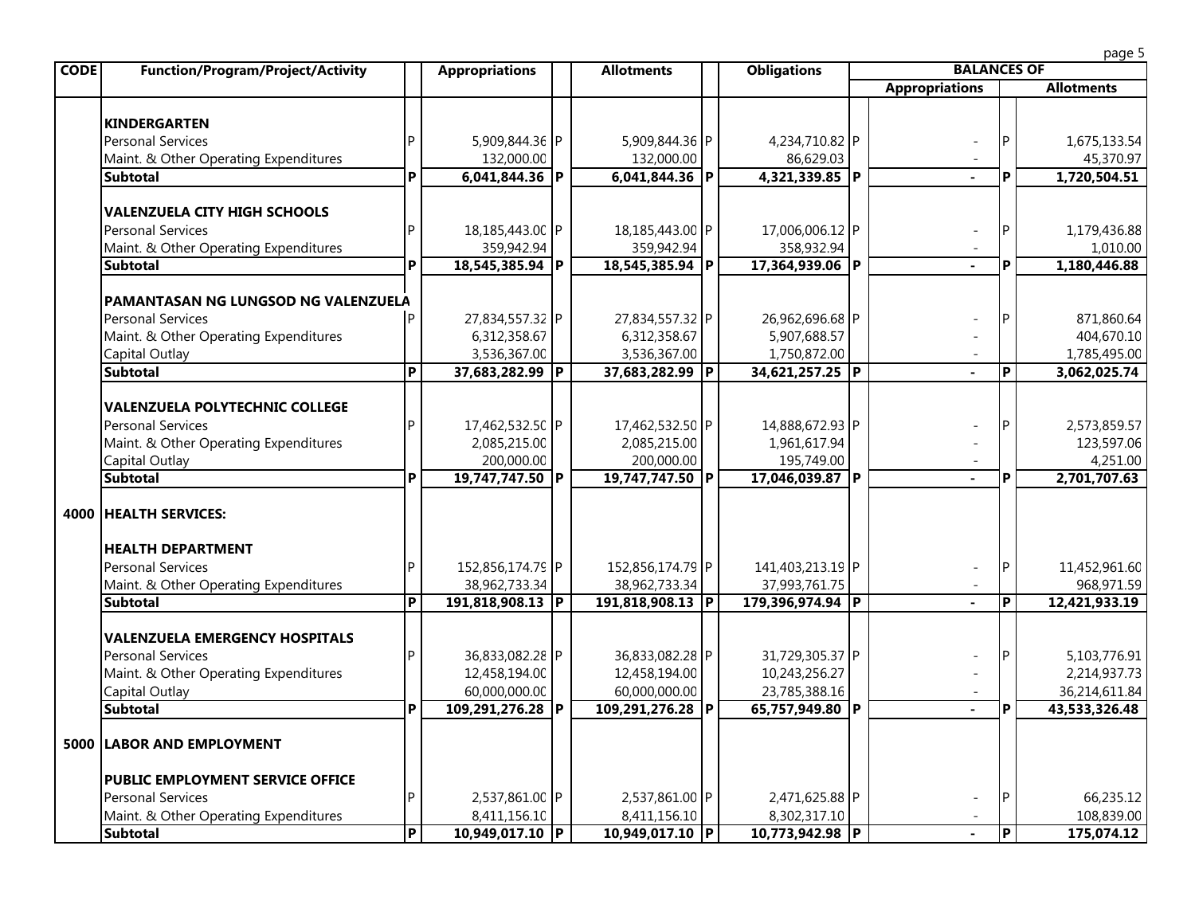|--|

| <b>CODE</b> | <b>Function/Program/Project/Activity</b> |                | <b>Appropriations</b> | <b>Allotments</b> |   | <b>Obligations</b> | <b>BALANCES OF</b>    |                |                   |
|-------------|------------------------------------------|----------------|-----------------------|-------------------|---|--------------------|-----------------------|----------------|-------------------|
|             |                                          |                |                       |                   |   |                    | <b>Appropriations</b> |                | <b>Allotments</b> |
|             |                                          |                |                       |                   |   |                    |                       |                |                   |
|             | <b>KINDERGARTEN</b>                      |                |                       |                   |   |                    |                       |                |                   |
|             | <b>Personal Services</b>                 | P.             | 5,909,844.36 P        | 5,909,844.36 P    |   | 4,234,710.82 P     |                       | IP.            | 1,675,133.54      |
|             | Maint. & Other Operating Expenditures    |                | 132,000.00            | 132,000.00        |   | 86,629.03          |                       |                | 45,370.97         |
|             | <b>Subtotal</b>                          | P              | $6,041,844.36$ P      | $6,041,844.36$ P  |   | 4,321,339.85 P     | $\mathbf{r}$          | P              | 1,720,504.51      |
|             |                                          |                |                       |                   |   |                    |                       |                |                   |
|             | <b>VALENZUELA CITY HIGH SCHOOLS</b>      |                |                       |                   |   |                    |                       |                |                   |
|             | <b>Personal Services</b>                 | Þ              | 18,185,443.00 P       | 18,185,443.00 P   |   | 17,006,006.12 P    |                       | IP             | 1,179,436.88      |
|             | Maint. & Other Operating Expenditures    |                | 359,942.94            | 359,942.94        |   | 358,932.94         |                       |                | 1,010.00          |
|             | <b>Subtotal</b>                          | P              | 18,545,385.94 P       | 18,545,385.94 P   |   | 17,364,939.06 P    | $\mathbf{r}$          | P              | 1,180,446.88      |
|             |                                          |                |                       |                   |   |                    |                       |                |                   |
|             | PAMANTASAN NG LUNGSOD NG VALENZUELA      |                |                       |                   |   |                    |                       |                |                   |
|             | <b>Personal Services</b>                 | Þ              | 27,834,557.32 P       | 27,834,557.32 P   |   | 26,962,696.68 P    |                       | l P            | 871,860.64        |
|             | Maint. & Other Operating Expenditures    |                | 6,312,358.67          | 6,312,358.67      |   | 5,907,688.57       |                       |                | 404,670.10        |
|             | Capital Outlay                           |                | 3,536,367.00          | 3,536,367.00      |   | 1,750,872.00       |                       |                | 1,785,495.00      |
|             | <b>Subtotal</b>                          | P              | 37,683,282.99 P       | 37,683,282.99     | P | 34,621,257.25 P    | $\mathbf{r}$          | P              | 3,062,025.74      |
|             |                                          |                |                       |                   |   |                    |                       |                |                   |
|             | <b>VALENZUELA POLYTECHNIC COLLEGE</b>    |                |                       |                   |   |                    |                       |                |                   |
|             | <b>Personal Services</b>                 | P              | 17,462,532.50 P       | 17,462,532.50 P   |   | 14,888,672.93 P    |                       | IP             | 2,573,859.57      |
|             | Maint. & Other Operating Expenditures    |                | 2,085,215.00          | 2,085,215.00      |   | 1,961,617.94       |                       |                | 123,597.06        |
|             | Capital Outlay                           |                | 200,000.00            | 200,000.00        |   | 195,749.00         |                       |                | 4,251.00          |
|             | <b>Subtotal</b>                          | P              | 19,747,747.50 P       | 19,747,747.50 P   |   | 17,046,039.87 P    | $\sim$                | P              | 2,701,707.63      |
|             |                                          |                |                       |                   |   |                    |                       |                |                   |
| 4000        | <b>HEALTH SERVICES:</b>                  |                |                       |                   |   |                    |                       |                |                   |
|             |                                          |                |                       |                   |   |                    |                       |                |                   |
|             | <b>HEALTH DEPARTMENT</b>                 |                |                       |                   |   |                    |                       |                |                   |
|             | <b>Personal Services</b>                 | P              | 152,856,174.79 P      | 152,856,174.79 P  |   | 141,403,213.19 P   |                       | IP             | 11,452,961.60     |
|             | Maint. & Other Operating Expenditures    |                | 38,962,733.34         | 38,962,733.34     |   | 37,993,761.75      |                       |                | 968,971.59        |
|             | <b>Subtotal</b>                          | $\overline{P}$ | 191,818,908.13 P      | 191,818,908.13    | P | 179,396,974.94 P   |                       | $\overline{P}$ | 12,421,933.19     |
|             |                                          |                |                       |                   |   |                    |                       |                |                   |
|             | <b>VALENZUELA EMERGENCY HOSPITALS</b>    |                |                       |                   |   |                    |                       |                |                   |
|             | <b>Personal Services</b>                 | Þ              | 36,833,082.28 P       | 36,833,082.28 P   |   | 31,729,305.37 P    |                       | IP             | 5,103,776.91      |
|             | Maint. & Other Operating Expenditures    |                | 12,458,194.00         | 12,458,194.00     |   | 10,243,256.27      |                       |                | 2,214,937.73      |
|             | Capital Outlay                           |                | 60,000,000.00         | 60,000,000.00     |   | 23,785,388.16      |                       |                | 36,214,611.84     |
|             | <b>Subtotal</b>                          | P              | 109,291,276.28 P      | 109,291,276.28 P  |   | 65,757,949.80 P    |                       | P              | 43,533,326.48     |
|             |                                          |                |                       |                   |   |                    |                       |                |                   |
|             | <b>5000 LABOR AND EMPLOYMENT</b>         |                |                       |                   |   |                    |                       |                |                   |
|             |                                          |                |                       |                   |   |                    |                       |                |                   |
|             | <b>PUBLIC EMPLOYMENT SERVICE OFFICE</b>  |                |                       |                   |   |                    |                       |                |                   |
|             | <b>Personal Services</b>                 | P.             | 2,537,861.00 P        | 2,537,861.00 P    |   | 2,471,625.88 P     |                       | IP             | 66,235.12         |
|             | Maint. & Other Operating Expenditures    |                | 8,411,156.10          | 8,411,156.10      |   | 8,302,317.10       |                       |                | 108,839.00        |
|             | <b>Subtotal</b>                          | $\overline{P}$ | 10,949,017.10 P       | 10,949,017.10 P   |   | 10,773,942.98 P    |                       | $\overline{P}$ | 175,074.12        |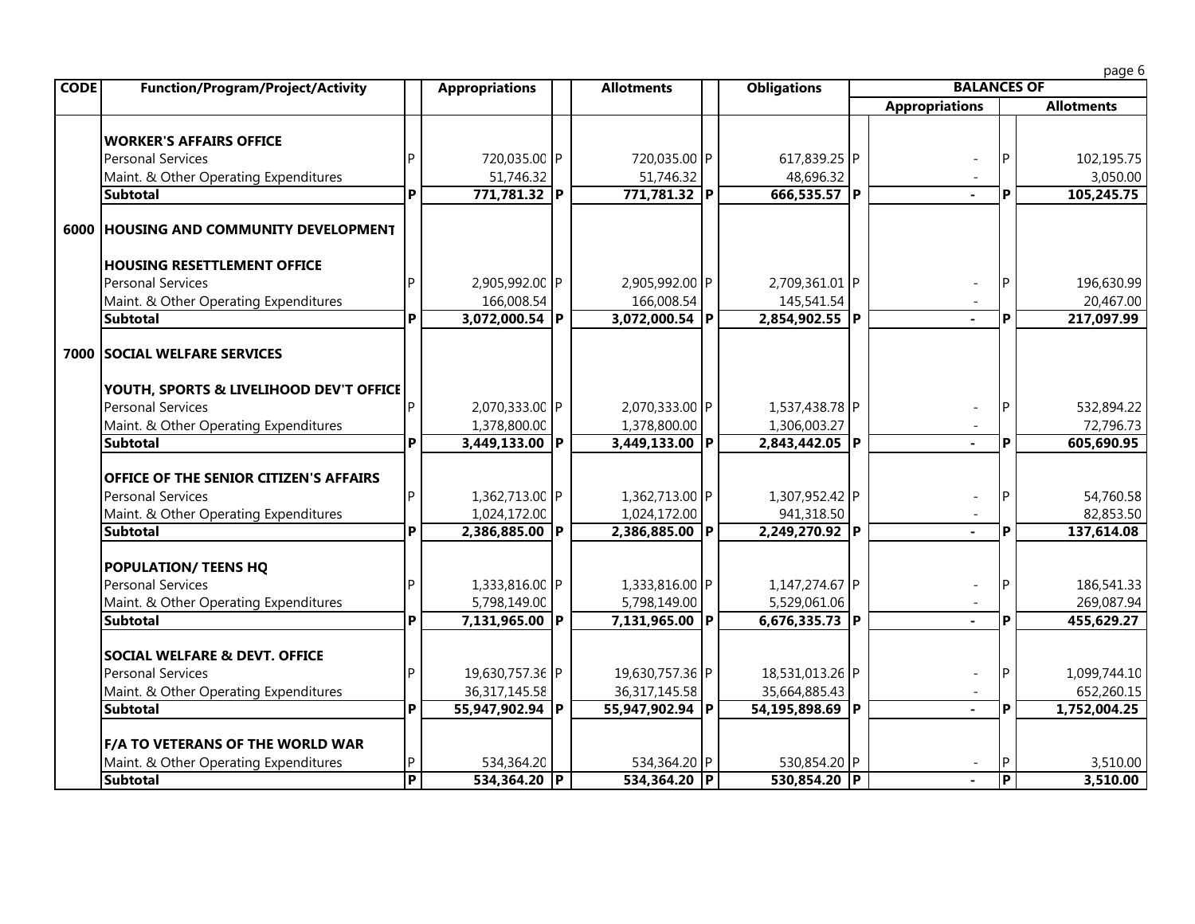page 6

| <b>CODE</b> | <b>Function/Program/Project/Activity</b>                                                            |                | <b>Appropriations</b>          |  | <b>Allotments</b>              |  | <b>Obligations</b>             |  | <b>BALANCES OF</b>    |                |                          |  |  |  |
|-------------|-----------------------------------------------------------------------------------------------------|----------------|--------------------------------|--|--------------------------------|--|--------------------------------|--|-----------------------|----------------|--------------------------|--|--|--|
|             |                                                                                                     |                |                                |  |                                |  |                                |  | <b>Appropriations</b> |                | <b>Allotments</b>        |  |  |  |
|             | <b>WORKER'S AFFAIRS OFFICE</b><br><b>Personal Services</b><br>Maint. & Other Operating Expenditures |                | 720,035.00 P<br>51,746.32      |  | 720,035.00 P<br>51,746.32      |  | 617,839.25 P<br>48,696.32      |  |                       | P              | 102,195.75<br>3,050.00   |  |  |  |
|             | <b>Subtotal</b>                                                                                     | P              | 771,781.32 P                   |  | 771,781.32 P                   |  | 666,535.57 P                   |  | $\sim$                | P              | 105,245.75               |  |  |  |
|             | 6000 HOUSING AND COMMUNITY DEVELOPMENT                                                              |                |                                |  |                                |  |                                |  |                       |                |                          |  |  |  |
|             | <b>HOUSING RESETTLEMENT OFFICE</b><br><b>Personal Services</b>                                      |                | 2,905,992.00 P                 |  | 2,905,992.00 P                 |  | 2,709,361.01 P                 |  |                       | P              | 196,630.99               |  |  |  |
|             | Maint. & Other Operating Expenditures                                                               |                | 166,008.54                     |  | 166,008.54                     |  | 145,541.54                     |  |                       |                | 20,467.00                |  |  |  |
|             | <b>Subtotal</b>                                                                                     | P              | $3,072,000.54$ P               |  | $3,072,000.54$ P               |  | 2,854,902.55 P                 |  | $\mathbf{r}$          | P              | 217,097.99               |  |  |  |
|             | 7000 SOCIAL WELFARE SERVICES                                                                        |                |                                |  |                                |  |                                |  |                       |                |                          |  |  |  |
|             | YOUTH, SPORTS & LIVELIHOOD DEV'T OFFICE<br><b>Personal Services</b>                                 |                | 2,070,333.00 P                 |  | 2,070,333.00 P                 |  | 1,537,438.78 P                 |  |                       | P              | 532,894.22               |  |  |  |
|             | Maint. & Other Operating Expenditures                                                               |                | 1,378,800.00                   |  | 1,378,800.00                   |  | 1,306,003.27                   |  |                       |                | 72,796.73                |  |  |  |
|             | <b>Subtotal</b>                                                                                     | P              | 3,449,133.00 P                 |  | 3,449,133.00 P                 |  | 2,843,442.05 P                 |  | $\sim$                | P              | 605,690.95               |  |  |  |
|             | <b>OFFICE OF THE SENIOR CITIZEN'S AFFAIRS</b>                                                       |                |                                |  |                                |  |                                |  |                       |                |                          |  |  |  |
|             | <b>Personal Services</b>                                                                            | Þ              | 1,362,713.00 P                 |  | 1,362,713.00 P                 |  | 1,307,952.42 P                 |  |                       | P              | 54,760.58                |  |  |  |
|             | Maint. & Other Operating Expenditures                                                               |                | 1,024,172.00                   |  | 1,024,172.00                   |  | 941,318.50                     |  |                       |                | 82,853.50                |  |  |  |
|             | <b>Subtotal</b>                                                                                     | P              | 2,386,885.00 P                 |  | 2,386,885.00 P                 |  | 2,249,270.92 P                 |  |                       | P              | 137,614.08               |  |  |  |
|             | <b>POPULATION/ TEENS HQ</b>                                                                         |                |                                |  |                                |  |                                |  |                       |                |                          |  |  |  |
|             | <b>Personal Services</b><br>Maint. & Other Operating Expenditures                                   |                | 1,333,816.00 P<br>5,798,149.00 |  | 1,333,816.00 P<br>5,798,149.00 |  | 1,147,274.67 P<br>5,529,061.06 |  |                       | P              | 186,541.33<br>269,087.94 |  |  |  |
|             | <b>Subtotal</b>                                                                                     | P              | 7,131,965.00 P                 |  | 7,131,965.00 P                 |  | 6,676,335.73 P                 |  |                       | P              | 455,629.27               |  |  |  |
|             | <b>SOCIAL WELFARE &amp; DEVT. OFFICE</b>                                                            |                |                                |  |                                |  |                                |  |                       |                |                          |  |  |  |
|             | <b>Personal Services</b>                                                                            |                | 19,630,757.36 P                |  | 19,630,757.36 P                |  | 18,531,013.26 P                |  |                       | P              | 1,099,744.10             |  |  |  |
|             | Maint. & Other Operating Expenditures                                                               |                | 36, 317, 145. 58               |  | 36, 317, 145. 58               |  | 35,664,885.43                  |  |                       |                | 652,260.15               |  |  |  |
|             | <b>Subtotal</b>                                                                                     | <b>P</b>       | 55,947,902.94 P                |  | 55,947,902.94 P                |  | 54,195,898.69 P                |  | $\sim$                | P              | 1,752,004.25             |  |  |  |
|             | <b>F/A TO VETERANS OF THE WORLD WAR</b>                                                             |                |                                |  |                                |  |                                |  |                       |                |                          |  |  |  |
|             | Maint. & Other Operating Expenditures                                                               |                | 534,364.20                     |  | 534,364.20 P                   |  | 530,854.20 P                   |  |                       | P              | 3,510.00                 |  |  |  |
|             | <b>Subtotal</b>                                                                                     | $\overline{P}$ | 534,364.20 P                   |  | 534,364.20 P                   |  | 530,854.20 P                   |  | $\sim$                | $\overline{P}$ | 3,510.00                 |  |  |  |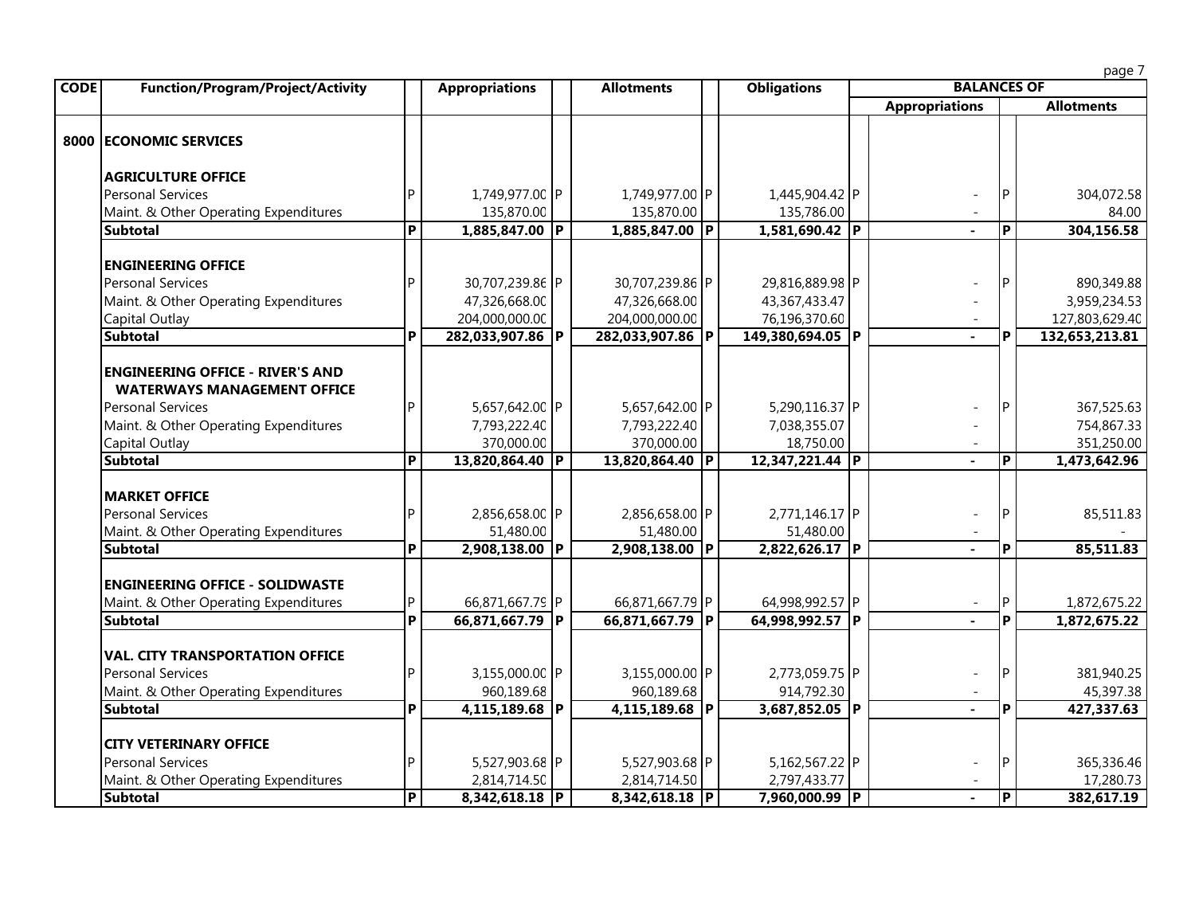|             |                                          |                         |                       |                   |                    |                       |                         | page 7            |
|-------------|------------------------------------------|-------------------------|-----------------------|-------------------|--------------------|-----------------------|-------------------------|-------------------|
| <b>CODE</b> | <b>Function/Program/Project/Activity</b> |                         | <b>Appropriations</b> | <b>Allotments</b> | <b>Obligations</b> | <b>BALANCES OF</b>    |                         |                   |
|             |                                          |                         |                       |                   |                    | <b>Appropriations</b> |                         | <b>Allotments</b> |
|             | 8000 ECONOMIC SERVICES                   |                         |                       |                   |                    |                       |                         |                   |
|             | <b>AGRICULTURE OFFICE</b>                |                         |                       |                   |                    |                       |                         |                   |
|             | <b>Personal Services</b>                 |                         | 1,749,977.00 P        | 1,749,977.00 P    | 1,445,904.42 P     |                       |                         | 304,072.58        |
|             | Maint. & Other Operating Expenditures    |                         | 135,870.00            | 135,870.00        | 135,786.00         |                       |                         | 84.00             |
|             | <b>Subtotal</b>                          | $\overline{\mathsf{P}}$ | 1,885,847.00 P        | 1,885,847.00 P    | 1,581,690.42 P     |                       | $\overline{\mathsf{P}}$ | 304,156.58        |
|             | <b>ENGINEERING OFFICE</b>                |                         |                       |                   |                    |                       |                         |                   |
|             | <b>Personal Services</b>                 |                         | 30,707,239.86 P       | 30,707,239.86 P   | 29,816,889.98 P    |                       |                         | 890,349.88        |
|             | Maint. & Other Operating Expenditures    |                         | 47,326,668.00         | 47,326,668.00     | 43,367,433.47      |                       |                         | 3,959,234.53      |
|             | Capital Outlay                           |                         | 204,000,000.00        | 204,000,000.00    | 76,196,370.60      |                       |                         | 127,803,629.40    |
|             | <b>Subtotal</b>                          | P                       | 282,033,907.86 P      | 282,033,907.86 P  | 149,380,694.05 P   | $\sim$                | P                       | 132,653,213.81    |
|             | <b>ENGINEERING OFFICE - RIVER'S AND</b>  |                         |                       |                   |                    |                       |                         |                   |
|             | <b>WATERWAYS MANAGEMENT OFFICE</b>       |                         |                       |                   |                    |                       |                         |                   |
|             | <b>Personal Services</b>                 |                         | 5,657,642.00 P        | 5,657,642.00 P    | 5,290,116.37 P     |                       |                         | 367,525.63        |
|             | Maint. & Other Operating Expenditures    |                         | 7,793,222.40          | 7,793,222.40      | 7,038,355.07       |                       |                         | 754,867.33        |
|             | Capital Outlay                           |                         | 370,000.00            | 370,000.00        | 18,750.00          |                       |                         | 351,250.00        |
|             | <b>Subtotal</b>                          | $\overline{\mathsf{P}}$ | 13,820,864.40 P       | 13,820,864.40 P   | 12,347,221.44 P    |                       | P                       | 1,473,642.96      |
|             | <b>MARKET OFFICE</b>                     |                         |                       |                   |                    |                       |                         |                   |
|             | <b>Personal Services</b>                 |                         | 2,856,658.00 P        | 2,856,658.00 P    | 2,771,146.17 P     |                       |                         | 85,511.83         |
|             | Maint. & Other Operating Expenditures    |                         | 51,480.00             | 51,480.00         | 51,480.00          |                       |                         |                   |
|             | <b>Subtotal</b>                          | P                       | 2,908,138.00 P        | 2,908,138.00 P    | 2,822,626.17 P     | $\blacksquare$        | P                       | 85,511.83         |
|             | <b>ENGINEERING OFFICE - SOLIDWASTE</b>   |                         |                       |                   |                    |                       |                         |                   |
|             | Maint. & Other Operating Expenditures    |                         | 66,871,667.79 P       | 66,871,667.79 P   | 64,998,992.57 P    | $\sim$                | P                       | 1,872,675.22      |
|             | <b>Subtotal</b>                          | P                       | 66,871,667.79 P       | 66,871,667.79 P   | 64,998,992.57 P    |                       | P                       | 1,872,675.22      |
|             | <b>VAL. CITY TRANSPORTATION OFFICE</b>   |                         |                       |                   |                    |                       |                         |                   |
|             | <b>Personal Services</b>                 |                         | 3,155,000.00 P        | 3,155,000.00 P    | 2,773,059.75 P     |                       |                         | 381,940.25        |
|             | Maint. & Other Operating Expenditures    |                         | 960,189.68            | 960,189.68        | 914,792.30         |                       |                         | 45,397.38         |
|             | <b>Subtotal</b>                          | P                       | $4,115,189.68$ P      | 4,115,189.68 P    | 3,687,852.05 P     |                       | P                       | 427,337.63        |
|             | <b>CITY VETERINARY OFFICE</b>            |                         |                       |                   |                    |                       |                         |                   |
|             | <b>Personal Services</b>                 |                         | 5,527,903.68 P        | 5,527,903.68 P    | 5,162,567.22 P     |                       |                         | 365,336.46        |
|             | Maint. & Other Operating Expenditures    |                         | 2,814,714.50          | 2,814,714.50      | 2,797,433.77       |                       |                         | 17,280.73         |
|             | <b>Subtotal</b>                          | P                       | 8,342,618.18 P        | 8,342,618.18 P    | 7,960,000.99 P     |                       | Þ                       | 382,617.19        |